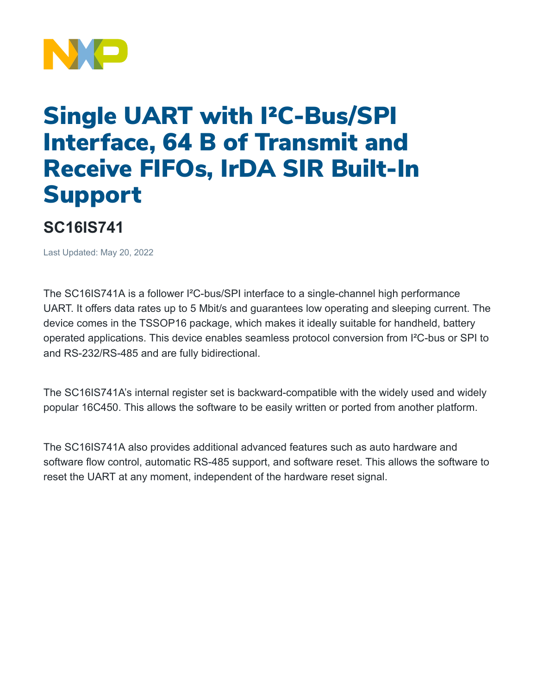

## Single UART with I²C-Bus/SPI Interface, 64 B of Transmit and Receive FIFOs, IrDA SIR Built-In Support

## **SC16IS741**

Last Updated: May 20, 2022

The SC16IS741A is a follower I²C-bus/SPI interface to a single-channel high performance UART. It offers data rates up to 5 Mbit/s and guarantees low operating and sleeping current. The device comes in the TSSOP16 package, which makes it ideally suitable for handheld, battery operated applications. This device enables seamless protocol conversion from I²C-bus or SPI to and RS-232/RS-485 and are fully bidirectional.

The SC16IS741A's internal register set is backward-compatible with the widely used and widely popular 16C450. This allows the software to be easily written or ported from another platform.

The SC16IS741A also provides additional advanced features such as auto hardware and software flow control, automatic RS-485 support, and software reset. This allows the software to reset the UART at any moment, independent of the hardware reset signal.